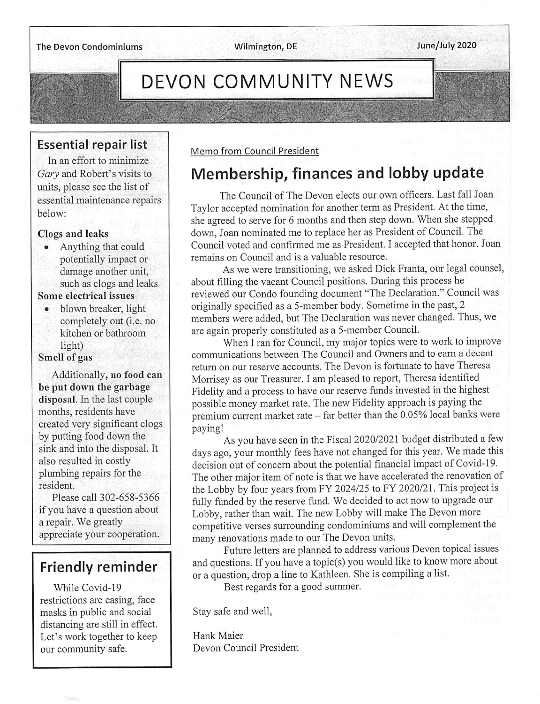$\mathcal{L}_{\mathcal{A}}$ 

# DEVON COMMUNITY NEWS

## Essential repair list

'H-'Y-ft-'-jM'-'-:

In an effort to minimize Gary and Robert's visits to units, please see the list of essential maintenance repairs below:

#### Clogs and leaks

• Anything that could potentially impact or damage another unit, such as clogs and leaks

## Some electrical issues

• blown breaker, light completely out (i.e. no kitchen or bathroom light)

#### Smell of gas

Additionally, no food can be put down the garbage disposal. In the last couple months, residents have created very significant clogs by putting food down the sink and into the disposal. It also resulted in costly plumbing repairs for the resident.

Please call 302-658-5366 if you have a question about a repair. We greatly appreciate your cooperation.

## Friendly reminder

While Covid-19 restrictions are easing, face masks in public and social distancing are still in effect. Let's work together to keep our community safe.

#### Memo from Council President

## Membership, finances and lobby update

The Council of The Devon elects our own officers. Last fall Joan Taylor accepted nomination for another term as President. At the time, she agreed to serve for 6 months and then step down. When she stepped down, Joan nominated me to replace her as President of Council. The Council voted and confirmed me as President. I accepted that honor. Joan remains on Council and is a valuable resource.

As we were transitioning, we asked Dick Franta, our legal counsel, about filling the vacant Council positions. During this process he reviewed our Condo founding document "The Declaration." Council was originally specified as a 5-member body. Sometime in the past, 2 members were added, but The Declaration was never changed. Thus, we are again properly constituted as a 5-member Council.

When I ran for Council, my major topics were to work to improve communications between The Council and Owners and to earn a decent return on our reserve accounts. The Devon is fortunate to have Theresa Morrisey as our Treasurer. I am pleased to report, Theresa identified Fidelity and a process to have our reserve funds invested in the highest possible money market rate. The new Fidelity approach is paying the premium current market rate - far better than the 0.05% local banks were paying!

As you have seen in the Fiscal 2020/2021 budget distributed a few days ago, your monthly fees have not changed for this year. We made this decision out of concern about the potential financial impact of Covid-19. The other major item of note is that we have accelerated the renovation of the Lobby by four years from FY 2024/25 to FY 2020/21. This project is fully funded by the reserve fund. We decided to act nowto upgrade our Lobby, rather than wait. The new Lobby will make The Devon more competitive verses surrounding condominiums and will complement the many renovations made to our The Devon units.

Future letters are planned to address various Devon topical issues and questions. If you have a topic(s) you would like to know more about or a question, drop a lineto Kathleen. She is compiling a list.

Best regards for a good summer.

Stay safe and well.

Hank Maier Devon Council President